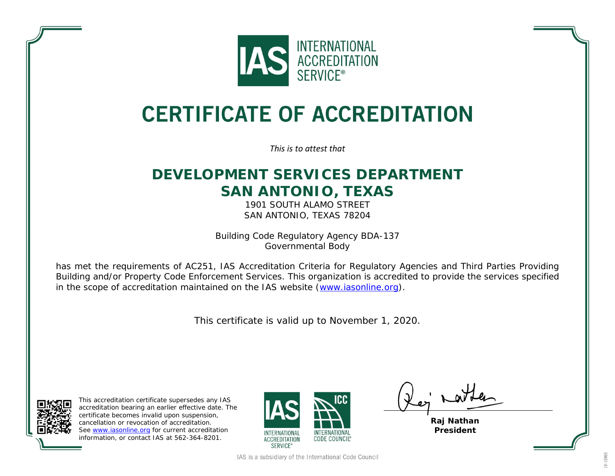

## **CERTIFICATE OF ACCREDITATION**

*This is to attest that*

## **DEVELOPMENT SERVICES DEPARTMENT SAN ANTONIO, TEXAS**

1901 SOUTH ALAMO STREET SAN ANTONIO, TEXAS 78204

Building Code Regulatory Agency BDA-137 Governmental Body

has met the requirements of AC251, *IAS Accreditation Criteria for Regulatory Agencies and Third Parties Providing Building and/or Property Code Enforcement Services*. This organization is accredited to provide the services specified in the scope of accreditation maintained on the IAS website [\(www.iasonline.org\)](http://www.iasonline.org/).

This certificate is valid up to November 1, 2020.



This accreditation certificate supersedes any IAS accreditation bearing an earlier effective date. The certificate becomes invalid upon suspension, cancellation or revocation of accreditation. See [www.iasonline.org](http://www.iasonline.org/) for current accreditation information, or contact IAS at 562-364-8201.



a atte

**Raj Nathan President**